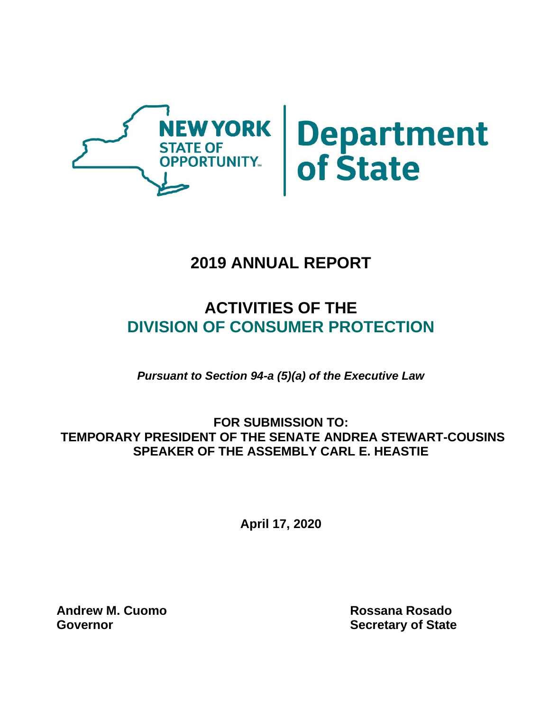

# **2019 ANNUAL REPORT**

# **ACTIVITIES OF THE DIVISION OF CONSUMER PROTECTION**

*Pursuant to Section 94-a (5)(a) of the Executive Law*

**FOR SUBMISSION TO: TEMPORARY PRESIDENT OF THE SENATE ANDREA STEWART-COUSINS SPEAKER OF THE ASSEMBLY CARL E. HEASTIE**

**April 17, 2020**

**Andrew M. Cuomo Rossana Rosado Governor Governor Secretary of State**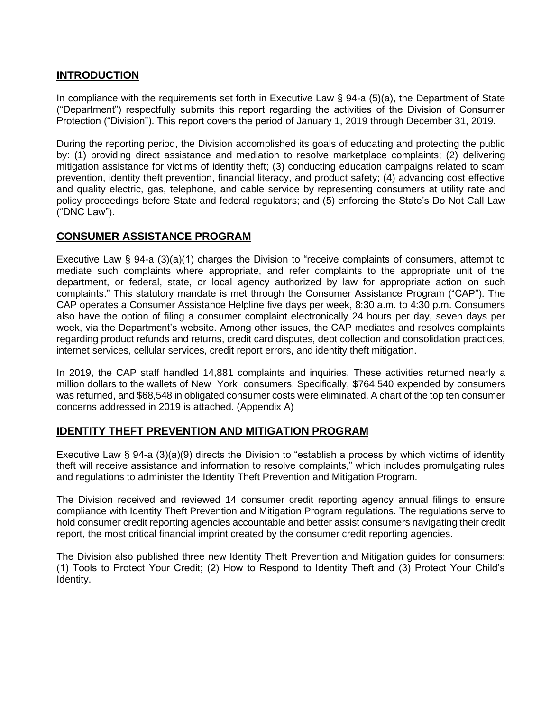#### **INTRODUCTION**

In compliance with the requirements set forth in Executive Law § 94-a (5)(a), the Department of State ("Department") respectfully submits this report regarding the activities of the Division of Consumer Protection ("Division"). This report covers the period of January 1, 2019 through December 31, 2019.

During the reporting period, the Division accomplished its goals of educating and protecting the public by: (1) providing direct assistance and mediation to resolve marketplace complaints; (2) delivering mitigation assistance for victims of identity theft; (3) conducting education campaigns related to scam prevention, identity theft prevention, financial literacy, and product safety; (4) advancing cost effective and quality electric, gas, telephone, and cable service by representing consumers at utility rate and policy proceedings before State and federal regulators; and (5) enforcing the State's Do Not Call Law ("DNC Law").

#### **CONSUMER ASSISTANCE PROGRAM**

Executive Law § 94-a (3)(a)(1) charges the Division to "receive complaints of consumers, attempt to mediate such complaints where appropriate, and refer complaints to the appropriate unit of the department, or federal, state, or local agency authorized by law for appropriate action on such complaints." This statutory mandate is met through the Consumer Assistance Program ("CAP"). The CAP operates a Consumer Assistance Helpline five days per week, 8:30 a.m. to 4:30 p.m. Consumers also have the option of filing a consumer complaint electronically 24 hours per day, seven days per week, via the Department's website. Among other issues, the CAP mediates and resolves complaints regarding product refunds and returns, credit card disputes, debt collection and consolidation practices, internet services, cellular services, credit report errors, and identity theft mitigation.

In 2019, the CAP staff handled 14,881 complaints and inquiries. These activities returned nearly a million dollars to the wallets of New York consumers. Specifically, \$764,540 expended by consumers was returned, and \$68,548 in obligated consumer costs were eliminated. A chart of the top ten consumer concerns addressed in 2019 is attached. (Appendix A)

#### **IDENTITY THEFT PREVENTION AND MITIGATION PROGRAM**

Executive Law § 94-a (3)(a)(9) directs the Division to "establish a process by which victims of identity theft will receive assistance and information to resolve complaints," which includes promulgating rules and regulations to administer the Identity Theft Prevention and Mitigation Program.

The Division received and reviewed 14 consumer credit reporting agency annual filings to ensure compliance with Identity Theft Prevention and Mitigation Program regulations. The regulations serve to hold consumer credit reporting agencies accountable and better assist consumers navigating their credit report, the most critical financial imprint created by the consumer credit reporting agencies.

The Division also published three new Identity Theft Prevention and Mitigation guides for consumers: (1) Tools to Protect Your Credit; (2) How to Respond to Identity Theft and (3) Protect Your Child's Identity.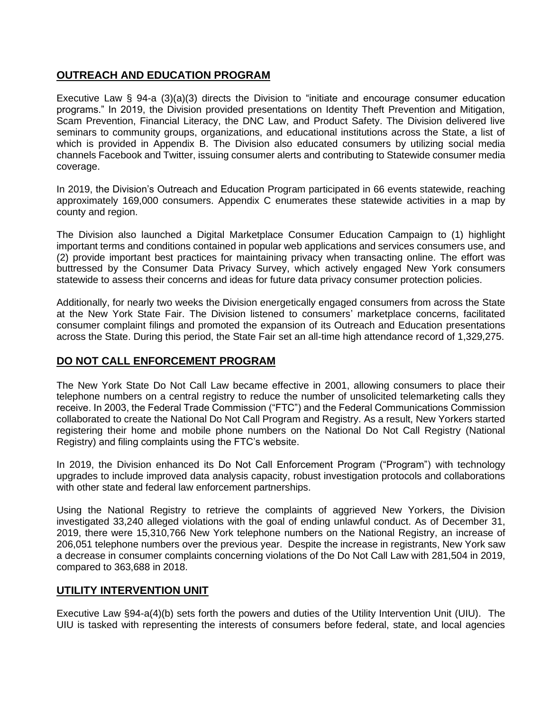#### **OUTREACH AND EDUCATION PROGRAM**

Executive Law § 94-a (3)(a)(3) directs the Division to "initiate and encourage consumer education programs." In 2019, the Division provided presentations on Identity Theft Prevention and Mitigation, Scam Prevention, Financial Literacy, the DNC Law, and Product Safety. The Division delivered live seminars to community groups, organizations, and educational institutions across the State, a list of which is provided in Appendix B. The Division also educated consumers by utilizing social media channels Facebook and Twitter, issuing consumer alerts and contributing to Statewide consumer media coverage.

In 2019, the Division's Outreach and Education Program participated in 66 events statewide, reaching approximately 169,000 consumers. Appendix C enumerates these statewide activities in a map by county and region.

The Division also launched a Digital Marketplace Consumer Education Campaign to (1) highlight important terms and conditions contained in popular web applications and services consumers use, and (2) provide important best practices for maintaining privacy when transacting online. The effort was buttressed by the Consumer Data Privacy Survey, which actively engaged New York consumers statewide to assess their concerns and ideas for future data privacy consumer protection policies.

Additionally, for nearly two weeks the Division energetically engaged consumers from across the State at the New York State Fair. The Division listened to consumers' marketplace concerns, facilitated consumer complaint filings and promoted the expansion of its Outreach and Education presentations across the State. During this period, the State Fair set an all-time high attendance record of 1,329,275.

#### **DO NOT CALL ENFORCEMENT PROGRAM**

The New York State Do Not Call Law became effective in 2001, allowing consumers to place their telephone numbers on a central registry to reduce the number of unsolicited telemarketing calls they receive. In 2003, the Federal Trade Commission ("FTC") and the Federal Communications Commission collaborated to create the National Do Not Call Program and Registry. As a result, New Yorkers started registering their home and mobile phone numbers on the National Do Not Call Registry (National Registry) and filing complaints using the FTC's website.

In 2019, the Division enhanced its Do Not Call Enforcement Program ("Program") with technology upgrades to include improved data analysis capacity, robust investigation protocols and collaborations with other state and federal law enforcement partnerships.

Using the National Registry to retrieve the complaints of aggrieved New Yorkers, the Division investigated 33,240 alleged violations with the goal of ending unlawful conduct. As of December 31, 2019, there were 15,310,766 New York telephone numbers on the National Registry, an increase of 206,051 telephone numbers over the previous year. Despite the increase in registrants, New York saw a decrease in consumer complaints concerning violations of the Do Not Call Law with 281,504 in 2019, compared to 363,688 in 2018.

#### **UTILITY INTERVENTION UNIT**

Executive Law §94-a(4)(b) sets forth the powers and duties of the Utility Intervention Unit (UIU). The UIU is tasked with representing the interests of consumers before federal, state, and local agencies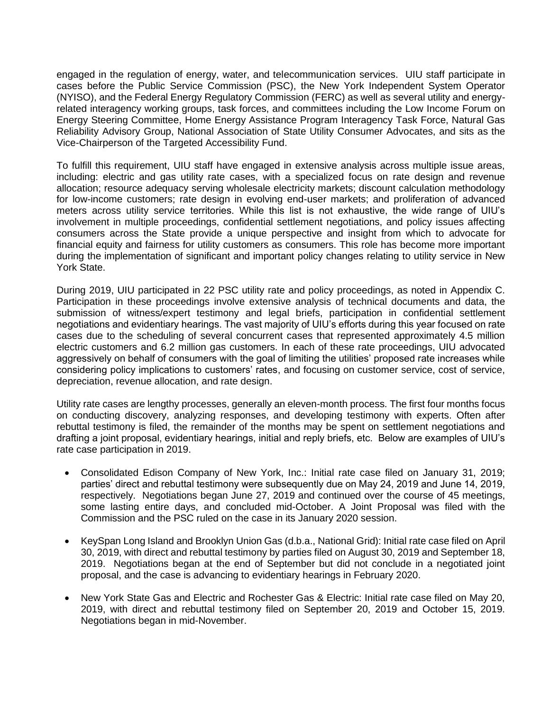engaged in the regulation of energy, water, and telecommunication services. UIU staff participate in cases before the Public Service Commission (PSC), the New York Independent System Operator (NYISO), and the Federal Energy Regulatory Commission (FERC) as well as several utility and energyrelated interagency working groups, task forces, and committees including the Low Income Forum on Energy Steering Committee, Home Energy Assistance Program Interagency Task Force, Natural Gas Reliability Advisory Group, National Association of State Utility Consumer Advocates, and sits as the Vice-Chairperson of the Targeted Accessibility Fund.

To fulfill this requirement, UIU staff have engaged in extensive analysis across multiple issue areas, including: electric and gas utility rate cases, with a specialized focus on rate design and revenue allocation; resource adequacy serving wholesale electricity markets; discount calculation methodology for low-income customers; rate design in evolving end-user markets; and proliferation of advanced meters across utility service territories. While this list is not exhaustive, the wide range of UIU's involvement in multiple proceedings, confidential settlement negotiations, and policy issues affecting consumers across the State provide a unique perspective and insight from which to advocate for financial equity and fairness for utility customers as consumers. This role has become more important during the implementation of significant and important policy changes relating to utility service in New York State.

During 2019, UIU participated in 22 PSC utility rate and policy proceedings, as noted in Appendix C. Participation in these proceedings involve extensive analysis of technical documents and data, the submission of witness/expert testimony and legal briefs, participation in confidential settlement negotiations and evidentiary hearings. The vast majority of UIU's efforts during this year focused on rate cases due to the scheduling of several concurrent cases that represented approximately 4.5 million electric customers and 6.2 million gas customers. In each of these rate proceedings, UIU advocated aggressively on behalf of consumers with the goal of limiting the utilities' proposed rate increases while considering policy implications to customers' rates, and focusing on customer service, cost of service, depreciation, revenue allocation, and rate design.

Utility rate cases are lengthy processes, generally an eleven-month process. The first four months focus on conducting discovery, analyzing responses, and developing testimony with experts. Often after rebuttal testimony is filed, the remainder of the months may be spent on settlement negotiations and drafting a joint proposal, evidentiary hearings, initial and reply briefs, etc. Below are examples of UIU's rate case participation in 2019.

- Consolidated Edison Company of New York, Inc.: Initial rate case filed on January 31, 2019; parties' direct and rebuttal testimony were subsequently due on May 24, 2019 and June 14, 2019, respectively. Negotiations began June 27, 2019 and continued over the course of 45 meetings, some lasting entire days, and concluded mid-October. A Joint Proposal was filed with the Commission and the PSC ruled on the case in its January 2020 session.
- KeySpan Long Island and Brooklyn Union Gas (d.b.a., National Grid): Initial rate case filed on April 30, 2019, with direct and rebuttal testimony by parties filed on August 30, 2019 and September 18, 2019. Negotiations began at the end of September but did not conclude in a negotiated joint proposal, and the case is advancing to evidentiary hearings in February 2020.
- New York State Gas and Electric and Rochester Gas & Electric: Initial rate case filed on May 20, 2019, with direct and rebuttal testimony filed on September 20, 2019 and October 15, 2019. Negotiations began in mid-November.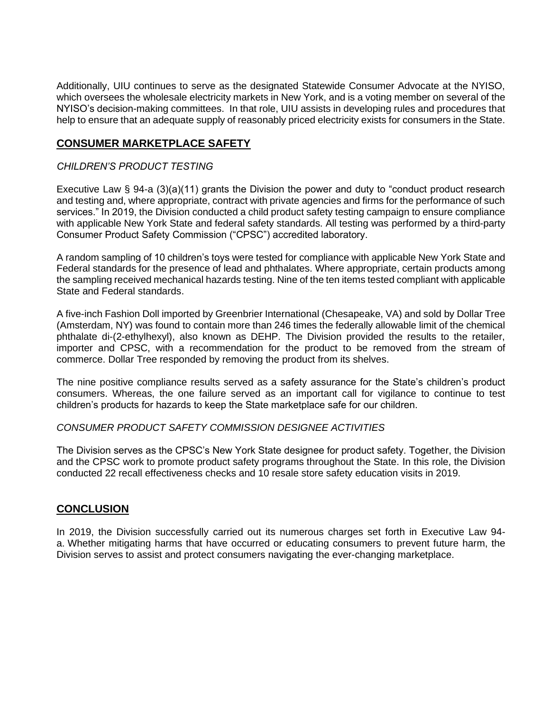Additionally, UIU continues to serve as the designated Statewide Consumer Advocate at the NYISO, which oversees the wholesale electricity markets in New York, and is a voting member on several of the NYISO's decision-making committees. In that role, UIU assists in developing rules and procedures that help to ensure that an adequate supply of reasonably priced electricity exists for consumers in the State.

#### **CONSUMER MARKETPLACE SAFETY**

#### *CHILDREN'S PRODUCT TESTING*

Executive Law § 94-a (3)(a)(11) grants the Division the power and duty to "conduct product research and testing and, where appropriate, contract with private agencies and firms for the performance of such services." In 2019, the Division conducted a child product safety testing campaign to ensure compliance with applicable New York State and federal safety standards. All testing was performed by a third-party Consumer Product Safety Commission ("CPSC") accredited laboratory.

A random sampling of 10 children's toys were tested for compliance with applicable New York State and Federal standards for the presence of lead and phthalates. Where appropriate, certain products among the sampling received mechanical hazards testing. Nine of the ten items tested compliant with applicable State and Federal standards.

A five-inch Fashion Doll imported by Greenbrier International (Chesapeake, VA) and sold by Dollar Tree (Amsterdam, NY) was found to contain more than 246 times the federally allowable limit of the chemical phthalate di-(2-ethylhexyl), also known as DEHP. The Division provided the results to the retailer, importer and CPSC, with a recommendation for the product to be removed from the stream of commerce. Dollar Tree responded by removing the product from its shelves.

The nine positive compliance results served as a safety assurance for the State's children's product consumers. Whereas, the one failure served as an important call for vigilance to continue to test children's products for hazards to keep the State marketplace safe for our children.

#### *CONSUMER PRODUCT SAFETY COMMISSION DESIGNEE ACTIVITIES*

The Division serves as the CPSC's New York State designee for product safety. Together, the Division and the CPSC work to promote product safety programs throughout the State. In this role, the Division conducted 22 recall effectiveness checks and 10 resale store safety education visits in 2019.

#### **CONCLUSION**

In 2019, the Division successfully carried out its numerous charges set forth in Executive Law 94 a. Whether mitigating harms that have occurred or educating consumers to prevent future harm, the Division serves to assist and protect consumers navigating the ever-changing marketplace.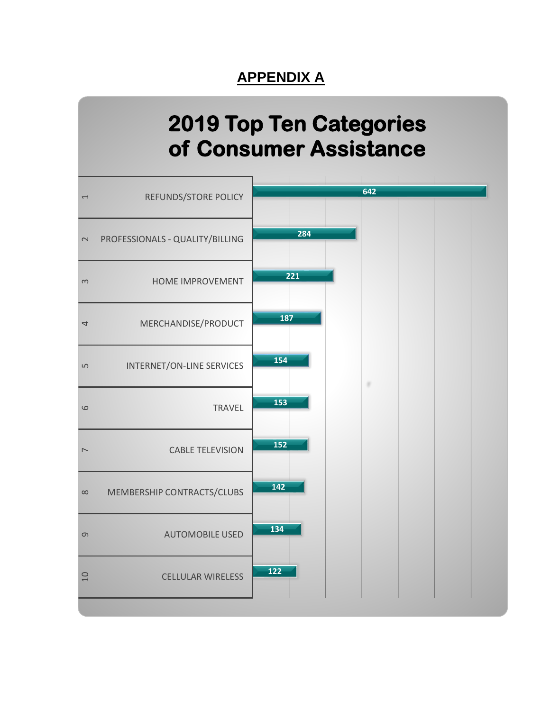## **APPENDIX A**

# **2019 Top Ten Categories of Consumer Assistance**

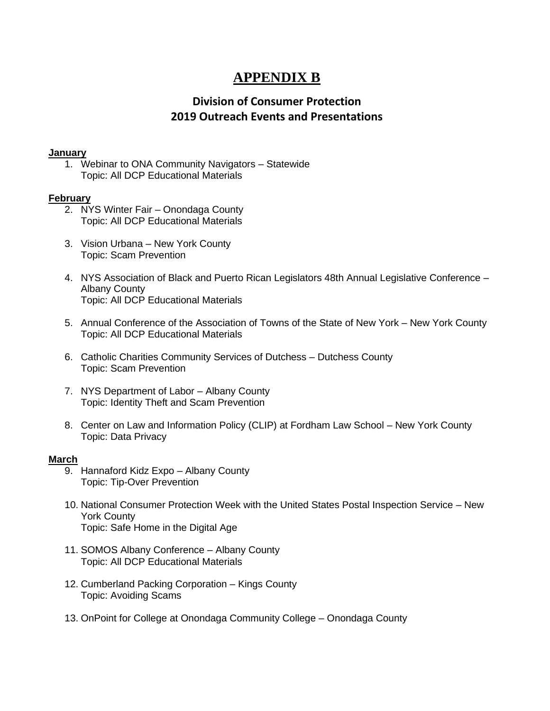### **APPENDIX B**

### **Division of Consumer Protection 2019 Outreach Events and Presentations**

#### **January**

1. Webinar to ONA Community Navigators – Statewide Topic: All DCP Educational Materials

#### **February**

- 2. NYS Winter Fair Onondaga County Topic: All DCP Educational Materials
- 3. Vision Urbana New York County Topic: Scam Prevention
- 4. NYS Association of Black and Puerto Rican Legislators 48th Annual Legislative Conference Albany County Topic: All DCP Educational Materials
- 5. Annual Conference of the Association of Towns of the State of New York New York County Topic: All DCP Educational Materials
- 6. Catholic Charities Community Services of Dutchess Dutchess County Topic: Scam Prevention
- 7. NYS Department of Labor Albany County Topic: Identity Theft and Scam Prevention
- 8. Center on Law and Information Policy (CLIP) at Fordham Law School New York County Topic: Data Privacy

#### **March**

- 9. Hannaford Kidz Expo Albany County Topic: Tip-Over Prevention
- 10. National Consumer Protection Week with the United States Postal Inspection Service New York County Topic: Safe Home in the Digital Age
- 11. SOMOS Albany Conference Albany County Topic: All DCP Educational Materials
- 12. Cumberland Packing Corporation Kings County Topic: Avoiding Scams
- 13. OnPoint for College at Onondaga Community College Onondaga County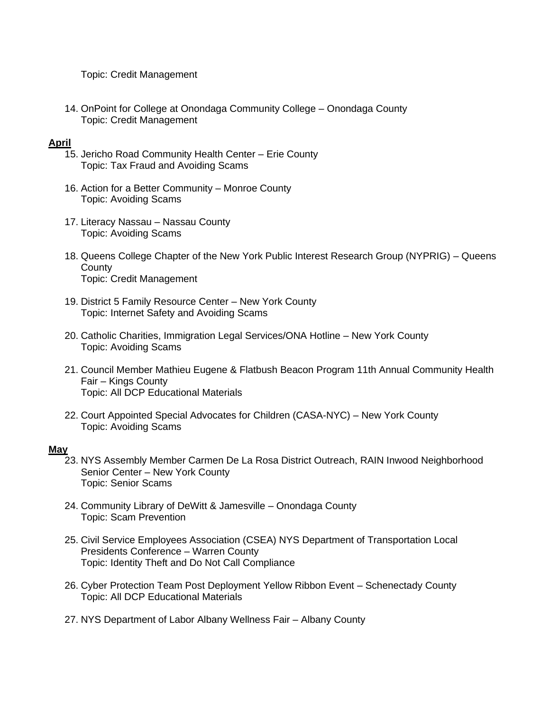Topic: Credit Management

14. OnPoint for College at Onondaga Community College – Onondaga County Topic: Credit Management

#### **April**

- 15. Jericho Road Community Health Center Erie County Topic: Tax Fraud and Avoiding Scams
- 16. Action for a Better Community Monroe County Topic: Avoiding Scams
- 17. Literacy Nassau Nassau County Topic: Avoiding Scams
- 18. Queens College Chapter of the New York Public Interest Research Group (NYPRIG) Queens **County** Topic: Credit Management
- 19. District 5 Family Resource Center New York County Topic: Internet Safety and Avoiding Scams
- 20. Catholic Charities, Immigration Legal Services/ONA Hotline New York County Topic: Avoiding Scams
- 21. Council Member Mathieu Eugene & Flatbush Beacon Program 11th Annual Community Health Fair – Kings County Topic: All DCP Educational Materials
- 22. Court Appointed Special Advocates for Children (CASA-NYC) New York County Topic: Avoiding Scams

#### **May**

- 23. NYS Assembly Member Carmen De La Rosa District Outreach, RAIN Inwood Neighborhood Senior Center – New York County Topic: Senior Scams
- 24. Community Library of DeWitt & Jamesville Onondaga County Topic: Scam Prevention
- 25. Civil Service Employees Association (CSEA) NYS Department of Transportation Local Presidents Conference – Warren County Topic: Identity Theft and Do Not Call Compliance
- 26. Cyber Protection Team Post Deployment Yellow Ribbon Event Schenectady County Topic: All DCP Educational Materials
- 27. NYS Department of Labor Albany Wellness Fair Albany County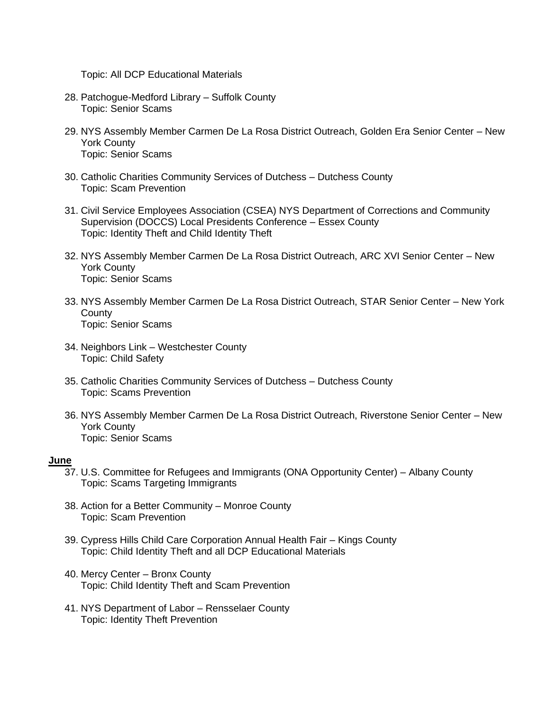Topic: All DCP Educational Materials

- 28. Patchogue-Medford Library Suffolk County Topic: Senior Scams
- 29. NYS Assembly Member Carmen De La Rosa District Outreach, Golden Era Senior Center New York County Topic: Senior Scams
- 30. Catholic Charities Community Services of Dutchess Dutchess County Topic: Scam Prevention
- 31. Civil Service Employees Association (CSEA) NYS Department of Corrections and Community Supervision (DOCCS) Local Presidents Conference – Essex County Topic: Identity Theft and Child Identity Theft
- 32. NYS Assembly Member Carmen De La Rosa District Outreach, ARC XVI Senior Center New York County Topic: Senior Scams
- 33. NYS Assembly Member Carmen De La Rosa District Outreach, STAR Senior Center New York **County** Topic: Senior Scams
- 34. Neighbors Link Westchester County Topic: Child Safety
- 35. Catholic Charities Community Services of Dutchess Dutchess County Topic: Scams Prevention
- 36. NYS Assembly Member Carmen De La Rosa District Outreach, Riverstone Senior Center New York County Topic: Senior Scams

#### **June**

- 37. U.S. Committee for Refugees and Immigrants (ONA Opportunity Center) Albany County Topic: Scams Targeting Immigrants
- 38. Action for a Better Community Monroe County Topic: Scam Prevention
- 39. Cypress Hills Child Care Corporation Annual Health Fair Kings County Topic: Child Identity Theft and all DCP Educational Materials
- 40. Mercy Center Bronx County Topic: Child Identity Theft and Scam Prevention
- 41. NYS Department of Labor Rensselaer County Topic: Identity Theft Prevention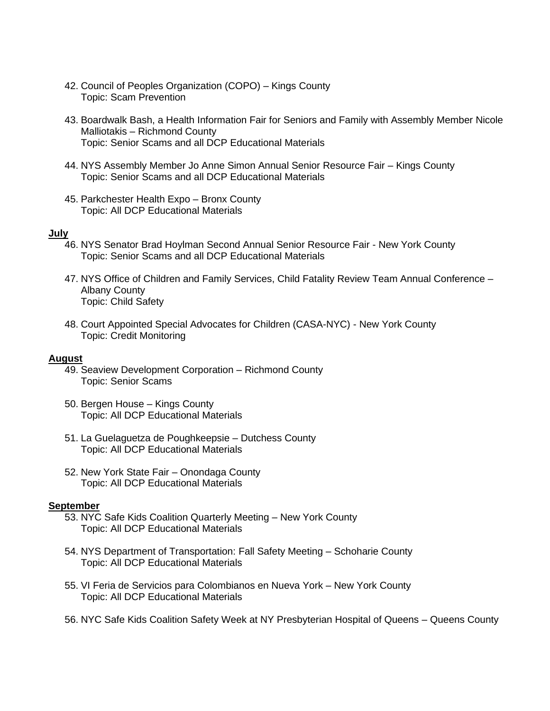- 42. Council of Peoples Organization (COPO) Kings County Topic: Scam Prevention
- 43. Boardwalk Bash, a Health Information Fair for Seniors and Family with Assembly Member Nicole Malliotakis – Richmond County Topic: Senior Scams and all DCP Educational Materials
- 44. NYS Assembly Member Jo Anne Simon Annual Senior Resource Fair Kings County Topic: Senior Scams and all DCP Educational Materials
- 45. Parkchester Health Expo Bronx County Topic: All DCP Educational Materials

#### **July**

- 46. NYS Senator Brad Hoylman Second Annual Senior Resource Fair New York County Topic: Senior Scams and all DCP Educational Materials
- 47. NYS Office of Children and Family Services, Child Fatality Review Team Annual Conference Albany County Topic: Child Safety
- 48. Court Appointed Special Advocates for Children (CASA-NYC) New York County Topic: Credit Monitoring

#### **August**

- 49. Seaview Development Corporation Richmond County Topic: Senior Scams
- 50. Bergen House Kings County Topic: All DCP Educational Materials
- 51. La Guelaguetza de Poughkeepsie Dutchess County Topic: All DCP Educational Materials
- 52. New York State Fair Onondaga County Topic: All DCP Educational Materials

#### **September**

- 53. NYC Safe Kids Coalition Quarterly Meeting New York County Topic: All DCP Educational Materials
- 54. NYS Department of Transportation: Fall Safety Meeting Schoharie County Topic: All DCP Educational Materials
- 55. VI Feria de Servicios para Colombianos en Nueva York New York County Topic: All DCP Educational Materials
- 56. NYC Safe Kids Coalition Safety Week at NY Presbyterian Hospital of Queens Queens County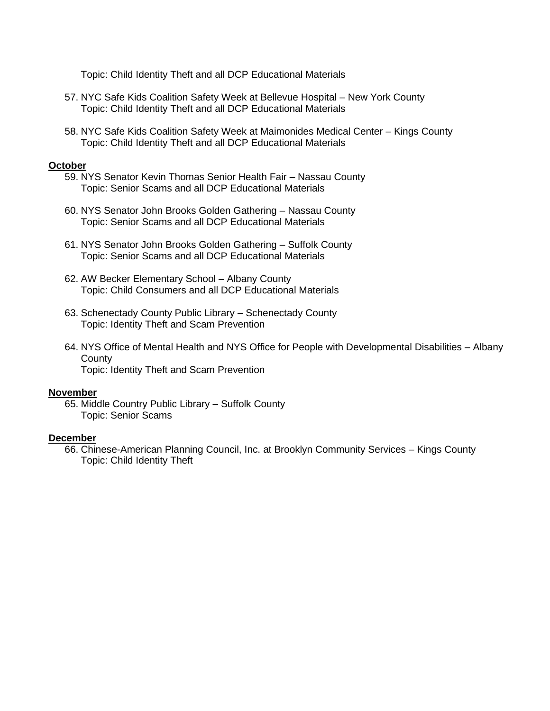Topic: Child Identity Theft and all DCP Educational Materials

- 57. NYC Safe Kids Coalition Safety Week at Bellevue Hospital New York County Topic: Child Identity Theft and all DCP Educational Materials
- 58. NYC Safe Kids Coalition Safety Week at Maimonides Medical Center Kings County Topic: Child Identity Theft and all DCP Educational Materials

#### **October**

- 59. NYS Senator Kevin Thomas Senior Health Fair Nassau County Topic: Senior Scams and all DCP Educational Materials
- 60. NYS Senator John Brooks Golden Gathering Nassau County Topic: Senior Scams and all DCP Educational Materials
- 61. NYS Senator John Brooks Golden Gathering Suffolk County Topic: Senior Scams and all DCP Educational Materials
- 62. AW Becker Elementary School Albany County Topic: Child Consumers and all DCP Educational Materials
- 63. Schenectady County Public Library Schenectady County Topic: Identity Theft and Scam Prevention
- 64. NYS Office of Mental Health and NYS Office for People with Developmental Disabilities Albany **County** Topic: Identity Theft and Scam Prevention

#### **November**

65. Middle Country Public Library – Suffolk County Topic: Senior Scams

#### **December**

66. Chinese-American Planning Council, Inc. at Brooklyn Community Services – Kings County Topic: Child Identity Theft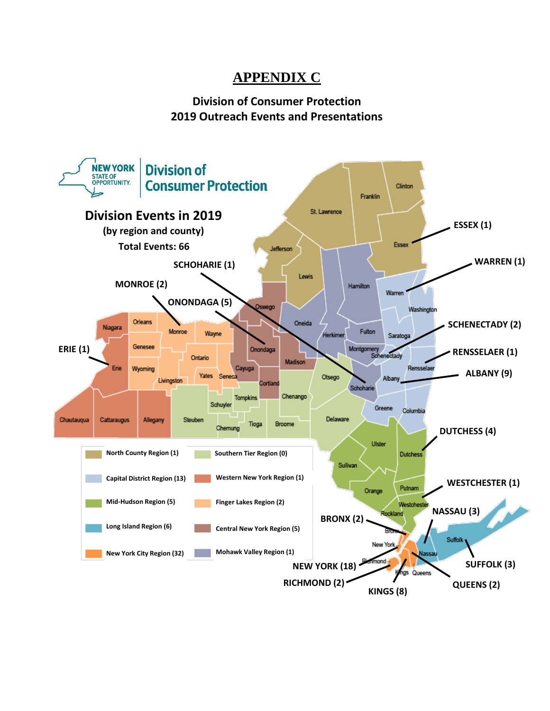### **APPENDIX C**

### **Division of Consumer Protection 2019 Outreach Events and Presentations**

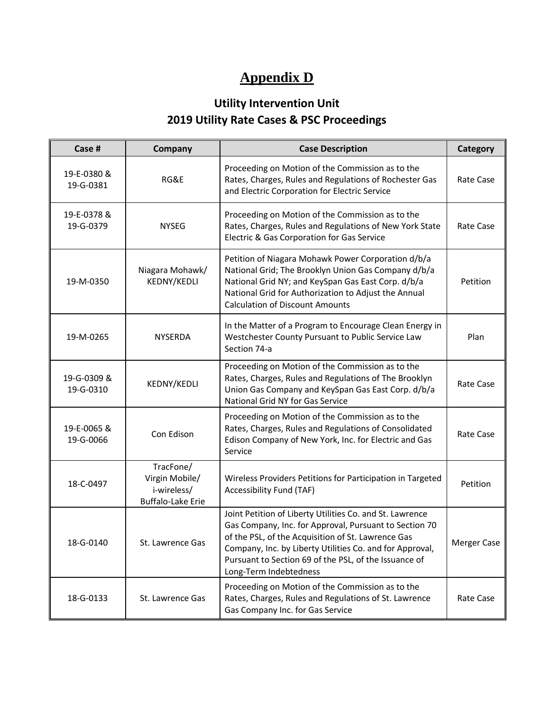# **Appendix D**

### **Utility Intervention Unit 2019 Utility Rate Cases & PSC Proceedings**

| Case #                   | <b>Company</b>                                                         | <b>Case Description</b>                                                                                                                                                                                                                                                                                                 | Category    |
|--------------------------|------------------------------------------------------------------------|-------------------------------------------------------------------------------------------------------------------------------------------------------------------------------------------------------------------------------------------------------------------------------------------------------------------------|-------------|
| 19-E-0380 &<br>19-G-0381 | RG&E                                                                   | Proceeding on Motion of the Commission as to the<br>Rates, Charges, Rules and Regulations of Rochester Gas<br>and Electric Corporation for Electric Service                                                                                                                                                             | Rate Case   |
| 19-E-0378 &<br>19-G-0379 | <b>NYSEG</b>                                                           | Proceeding on Motion of the Commission as to the<br>Rates, Charges, Rules and Regulations of New York State<br>Electric & Gas Corporation for Gas Service                                                                                                                                                               | Rate Case   |
| 19-M-0350                | Niagara Mohawk/<br>KEDNY/KEDLI                                         | Petition of Niagara Mohawk Power Corporation d/b/a<br>National Grid; The Brooklyn Union Gas Company d/b/a<br>National Grid NY; and KeySpan Gas East Corp. d/b/a<br>National Grid for Authorization to Adjust the Annual<br><b>Calculation of Discount Amounts</b>                                                       | Petition    |
| 19-M-0265                | <b>NYSERDA</b>                                                         | In the Matter of a Program to Encourage Clean Energy in<br>Westchester County Pursuant to Public Service Law<br>Section 74-a                                                                                                                                                                                            | Plan        |
| 19-G-0309 &<br>19-G-0310 | KEDNY/KEDLI                                                            | Proceeding on Motion of the Commission as to the<br>Rates, Charges, Rules and Regulations of The Brooklyn<br>Union Gas Company and KeySpan Gas East Corp. d/b/a<br>National Grid NY for Gas Service                                                                                                                     | Rate Case   |
| 19-E-0065 &<br>19-G-0066 | Con Edison                                                             | Proceeding on Motion of the Commission as to the<br>Rates, Charges, Rules and Regulations of Consolidated<br>Edison Company of New York, Inc. for Electric and Gas<br>Service                                                                                                                                           | Rate Case   |
| 18-C-0497                | TracFone/<br>Virgin Mobile/<br>i-wireless/<br><b>Buffalo-Lake Erie</b> | Wireless Providers Petitions for Participation in Targeted<br>Accessibility Fund (TAF)                                                                                                                                                                                                                                  | Petition    |
| 18-G-0140                | St. Lawrence Gas                                                       | Joint Petition of Liberty Utilities Co. and St. Lawrence<br>Gas Company, Inc. for Approval, Pursuant to Section 70<br>of the PSL, of the Acquisition of St. Lawrence Gas<br>Company, Inc. by Liberty Utilities Co. and for Approval,<br>Pursuant to Section 69 of the PSL, of the Issuance of<br>Long-Term Indebtedness | Merger Case |
| 18-G-0133                | St. Lawrence Gas                                                       | Proceeding on Motion of the Commission as to the<br>Rates, Charges, Rules and Regulations of St. Lawrence<br>Gas Company Inc. for Gas Service                                                                                                                                                                           | Rate Case   |